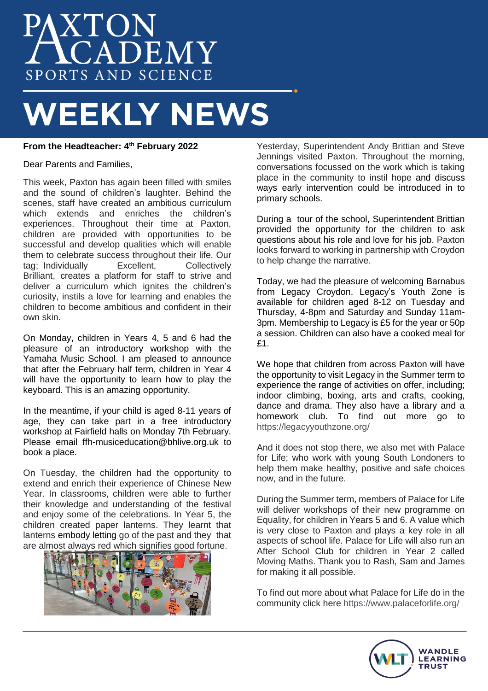# AXTON<br>ACADEMY SPORTS AND SCIENCE

# **WEEKLY NEWS**

# **From the Headteacher: 4 th February 2022**

Dear Parents and Families,

This week, Paxton has again been filled with smiles and the sound of children's laughter. Behind the scenes, staff have created an ambitious curriculum which extends and enriches the children's experiences. Throughout their time at Paxton, children are provided with opportunities to be successful and develop qualities which will enable them to celebrate success throughout their life. Our<br>tag: Individually Excellent. Collectively tag; Individually Brilliant, creates a platform for staff to strive and deliver a curriculum which ignites the children's curiosity, instils a love for learning and enables the children to become ambitious and confident in their own skin.

On Monday, children in Years 4, 5 and 6 had the pleasure of an introductory workshop with the Yamaha Music School. I am pleased to announce that after the February half term, children in Year 4 will have the opportunity to learn how to play the keyboard. This is an amazing opportunity.

In the meantime, if your child is aged 8-11 years of age, they can take part in a free introductory workshop at Fairfield halls on Monday 7th February. Please email ffh-musiceducation@bhlive.org.uk to book a place.

On Tuesday, the children had the opportunity to extend and enrich their experience of Chinese New Year. In classrooms, children were able to further their knowledge and understanding of the festival and enjoy some of the celebrations. In Year 5, the children created paper lanterns. They learnt that lanterns embody letting go of the past and they that are almost always red which signifies good fortune.



Yesterday, Superintendent Andy Brittian and Steve Jennings visited Paxton. Throughout the morning, conversations focussed on the work which is taking place in the community to instil hope and discuss ways early intervention could be introduced in to primary schools.

During a tour of the school, Superintendent Brittian provided the opportunity for the children to ask questions about his role and love for his job. Paxton looks forward to working in partnership with Croydon to help change the narrative.

Today, we had the pleasure of welcoming Barnabus from Legacy Croydon. Legacy's Youth Zone is available for children aged 8-12 on Tuesday and Thursday, 4-8pm and Saturday and Sunday 11am-3pm. Membership to Legacy is £5 for the year or 50p a session. Children can also have a cooked meal for £1.

We hope that children from across Paxton will have the opportunity to visit Legacy in the Summer term to experience the range of activities on offer, including; indoor climbing, boxing, arts and crafts, cooking, dance and drama. They also have a library and a homework club. To find out more go to <https://legacyyouthzone.org/>

And it does not stop there, we also met with Palace for Life; who work with young South Londoners to help them make healthy, positive and safe choices now, and in the future.

During the Summer term, members of Palace for Life will deliver workshops of their new programme on Equality, for children in Years 5 and 6. A value which is very close to Paxton and plays a key role in all aspects of school life. Palace for Life will also run an After School Club for children in Year 2 called Moving Maths. Thank you to Rash, Sam and James for making it all possible.

To find out more about what Palace for Life do in the community click here<https://www.palaceforlife.org/>